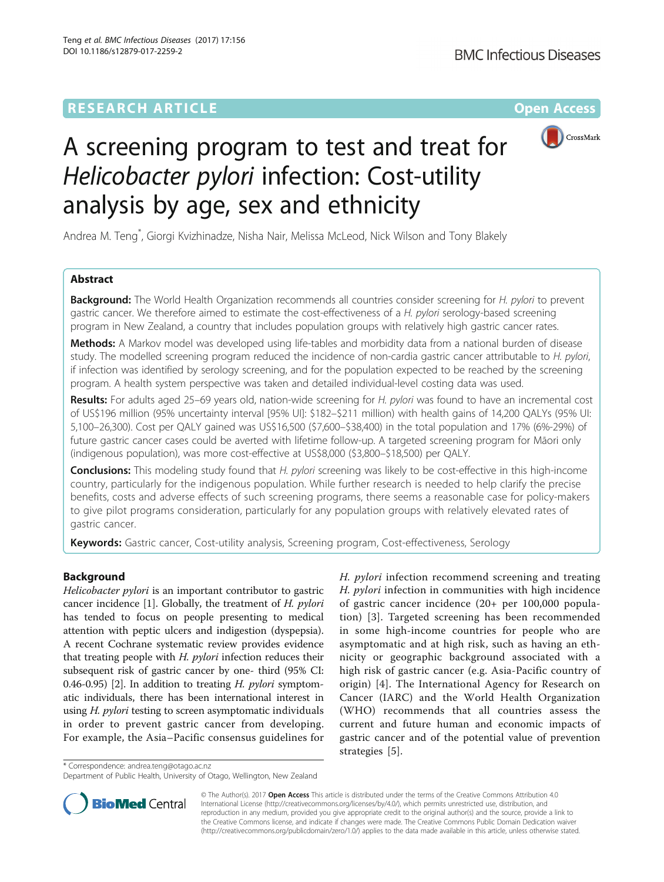

# A screening program to test and treat for Helicobacter pylori infection: Cost-utility analysis by age, sex and ethnicity

Andrea M. Teng\* , Giorgi Kvizhinadze, Nisha Nair, Melissa McLeod, Nick Wilson and Tony Blakely

# Abstract

**Background:** The World Health Organization recommends all countries consider screening for H. pylori to prevent gastric cancer. We therefore aimed to estimate the cost-effectiveness of a H. pylori serology-based screening program in New Zealand, a country that includes population groups with relatively high gastric cancer rates.

Methods: A Markov model was developed using life-tables and morbidity data from a national burden of disease study. The modelled screening program reduced the incidence of non-cardia gastric cancer attributable to H. pylori, if infection was identified by serology screening, and for the population expected to be reached by the screening program. A health system perspective was taken and detailed individual-level costing data was used.

Results: For adults aged 25–69 years old, nation-wide screening for H. pylori was found to have an incremental cost of US\$196 million (95% uncertainty interval [95% UI]: \$182–\$211 million) with health gains of 14,200 QALYs (95% UI: 5,100–26,300). Cost per QALY gained was US\$16,500 (\$7,600–\$38,400) in the total population and 17% (6%-29%) of future gastric cancer cases could be averted with lifetime follow-up. A targeted screening program for Māori only (indigenous population), was more cost-effective at US\$8,000 (\$3,800–\$18,500) per QALY.

**Conclusions:** This modeling study found that H. pylori screening was likely to be cost-effective in this high-income country, particularly for the indigenous population. While further research is needed to help clarify the precise benefits, costs and adverse effects of such screening programs, there seems a reasonable case for policy-makers to give pilot programs consideration, particularly for any population groups with relatively elevated rates of gastric cancer.

**Keywords:** Gastric cancer, Cost-utility analysis, Screening program, Cost-effectiveness, Serology

# Background

Helicobacter pylori is an important contributor to gastric cancer incidence [[1\]](#page-9-0). Globally, the treatment of H. pylori has tended to focus on people presenting to medical attention with peptic ulcers and indigestion (dyspepsia). A recent Cochrane systematic review provides evidence that treating people with  $H.$   $pylori$  infection reduces their subsequent risk of gastric cancer by one- third (95% CI: 0.46-0.95) [[2\]](#page-9-0). In addition to treating  $H.$  *pylori* symptomatic individuals, there has been international interest in using H. pylori testing to screen asymptomatic individuals in order to prevent gastric cancer from developing. For example, the Asia–Pacific consensus guidelines for

H. pylori infection recommend screening and treating H. *pylori* infection in communities with high incidence of gastric cancer incidence (20+ per 100,000 population) [[3](#page-9-0)]. Targeted screening has been recommended in some high-income countries for people who are asymptomatic and at high risk, such as having an ethnicity or geographic background associated with a high risk of gastric cancer (e.g. Asia-Pacific country of origin) [\[4\]](#page-9-0). The International Agency for Research on Cancer (IARC) and the World Health Organization (WHO) recommends that all countries assess the current and future human and economic impacts of gastric cancer and of the potential value of prevention strategies [[5\]](#page-9-0).

\* Correspondence: [andrea.teng@otago.ac.nz](mailto:andrea.teng@otago.ac.nz)

Department of Public Health, University of Otago, Wellington, New Zealand



© The Author(s). 2017 Open Access This article is distributed under the terms of the Creative Commons Attribution 4.0 International License [\(http://creativecommons.org/licenses/by/4.0/](http://creativecommons.org/licenses/by/4.0/)), which permits unrestricted use, distribution, and reproduction in any medium, provided you give appropriate credit to the original author(s) and the source, provide a link to the Creative Commons license, and indicate if changes were made. The Creative Commons Public Domain Dedication waiver [\(http://creativecommons.org/publicdomain/zero/1.0/](http://creativecommons.org/publicdomain/zero/1.0/)) applies to the data made available in this article, unless otherwise stated.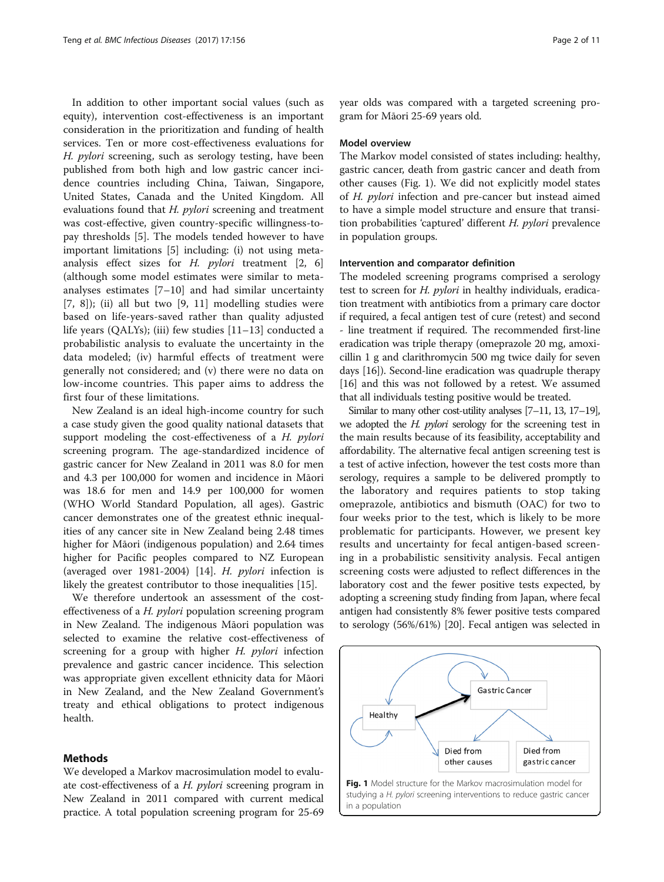In addition to other important social values (such as equity), intervention cost-effectiveness is an important consideration in the prioritization and funding of health services. Ten or more cost-effectiveness evaluations for H. pylori screening, such as serology testing, have been published from both high and low gastric cancer incidence countries including China, Taiwan, Singapore, United States, Canada and the United Kingdom. All evaluations found that *H. pylori* screening and treatment was cost-effective, given country-specific willingness-topay thresholds [[5\]](#page-9-0). The models tended however to have important limitations [[5\]](#page-9-0) including: (i) not using metaanalysis effect sizes for H.  $pylori$  treatment [\[2, 6](#page-9-0)] (although some model estimates were similar to metaanalyses estimates  $[7-10]$  $[7-10]$  $[7-10]$  $[7-10]$  and had similar uncertainty [[7, 8\]](#page-9-0)); (ii) all but two [[9](#page-9-0), [11\]](#page-9-0) modelling studies were based on life-years-saved rather than quality adjusted life years (QALYs); (iii) few studies [\[11](#page-9-0)–[13](#page-9-0)] conducted a probabilistic analysis to evaluate the uncertainty in the data modeled; (iv) harmful effects of treatment were generally not considered; and (v) there were no data on low-income countries. This paper aims to address the first four of these limitations.

New Zealand is an ideal high-income country for such a case study given the good quality national datasets that support modeling the cost-effectiveness of a H. pylori screening program. The age-standardized incidence of gastric cancer for New Zealand in 2011 was 8.0 for men and 4.3 per 100,000 for women and incidence in Māori was 18.6 for men and 14.9 per 100,000 for women (WHO World Standard Population, all ages). Gastric cancer demonstrates one of the greatest ethnic inequalities of any cancer site in New Zealand being 2.48 times higher for Māori (indigenous population) and 2.64 times higher for Pacific peoples compared to NZ European (averaged over 1981-2004) [[14](#page-9-0)]. H. pylori infection is likely the greatest contributor to those inequalities [[15](#page-9-0)].

We therefore undertook an assessment of the costeffectiveness of a H. pylori population screening program in New Zealand. The indigenous Māori population was selected to examine the relative cost-effectiveness of screening for a group with higher  $H$ . *pylori* infection prevalence and gastric cancer incidence. This selection was appropriate given excellent ethnicity data for Māori in New Zealand, and the New Zealand Government's treaty and ethical obligations to protect indigenous health.

# Methods

We developed a Markov macrosimulation model to evaluate cost-effectiveness of a H. pylori screening program in New Zealand in 2011 compared with current medical practice. A total population screening program for 25-69 year olds was compared with a targeted screening program for Māori 25-69 years old.

# Model overview

The Markov model consisted of states including: healthy, gastric cancer, death from gastric cancer and death from other causes (Fig. 1). We did not explicitly model states of H. pylori infection and pre-cancer but instead aimed to have a simple model structure and ensure that transition probabilities 'captured' different H. pylori prevalence in population groups.

# Intervention and comparator definition

The modeled screening programs comprised a serology test to screen for *H. pylori* in healthy individuals, eradication treatment with antibiotics from a primary care doctor if required, a fecal antigen test of cure (retest) and second - line treatment if required. The recommended first-line eradication was triple therapy (omeprazole 20 mg, amoxicillin 1 g and clarithromycin 500 mg twice daily for seven days [\[16\]](#page-9-0)). Second-line eradication was quadruple therapy [[16](#page-9-0)] and this was not followed by a retest. We assumed that all individuals testing positive would be treated.

Similar to many other cost-utility analyses [\[7](#page-9-0)–[11](#page-9-0), [13, 17](#page-9-0)–[19\]](#page-9-0), we adopted the H. *pylori* serology for the screening test in the main results because of its feasibility, acceptability and affordability. The alternative fecal antigen screening test is a test of active infection, however the test costs more than serology, requires a sample to be delivered promptly to the laboratory and requires patients to stop taking omeprazole, antibiotics and bismuth (OAC) for two to four weeks prior to the test, which is likely to be more problematic for participants. However, we present key results and uncertainty for fecal antigen-based screening in a probabilistic sensitivity analysis. Fecal antigen screening costs were adjusted to reflect differences in the laboratory cost and the fewer positive tests expected, by adopting a screening study finding from Japan, where fecal antigen had consistently 8% fewer positive tests compared to serology (56%/61%) [[20\]](#page-9-0). Fecal antigen was selected in

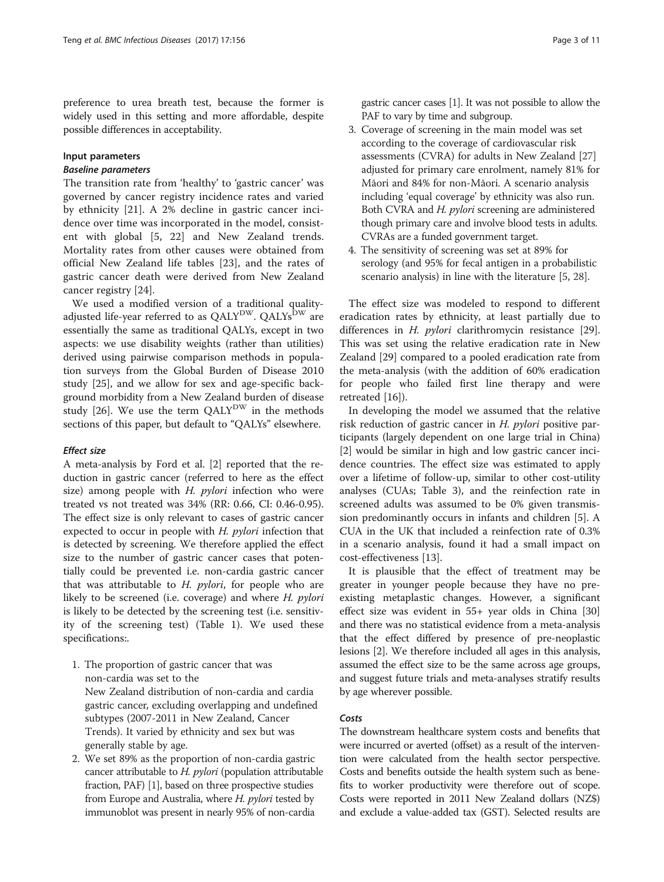preference to urea breath test, because the former is widely used in this setting and more affordable, despite possible differences in acceptability.

# Input parameters

The transition rate from 'healthy' to 'gastric cancer' was governed by cancer registry incidence rates and varied by ethnicity [\[21](#page-9-0)]. A 2% decline in gastric cancer incidence over time was incorporated in the model, consistent with global [\[5](#page-9-0), [22\]](#page-10-0) and New Zealand trends. Mortality rates from other causes were obtained from official New Zealand life tables [[23](#page-10-0)], and the rates of gastric cancer death were derived from New Zealand cancer registry [[24\]](#page-10-0).

We used a modified version of a traditional qualityadjusted life-year referred to as  $QALY^{DW}$ .  $QALY^{DW}$  are essentially the same as traditional QALYs, except in two aspects: we use disability weights (rather than utilities) derived using pairwise comparison methods in population surveys from the Global Burden of Disease 2010 study [[25\]](#page-10-0), and we allow for sex and age-specific background morbidity from a New Zealand burden of disease study [\[26\]](#page-10-0). We use the term  $QALY^{DW}$  in the methods sections of this paper, but default to "QALYs" elsewhere.

# **Effect size**

A meta-analysis by Ford et al. [\[2\]](#page-9-0) reported that the reduction in gastric cancer (referred to here as the effect size) among people with  $H.$  pylori infection who were treated vs not treated was 34% (RR: 0.66, CI: 0.46-0.95). The effect size is only relevant to cases of gastric cancer expected to occur in people with  $H$ . *pylori* infection that is detected by screening. We therefore applied the effect size to the number of gastric cancer cases that potentially could be prevented i.e. non-cardia gastric cancer that was attributable to  $H.$  *pylori*, for people who are likely to be screened (i.e. coverage) and where H. pylori is likely to be detected by the screening test (i.e. sensitivity of the screening test) (Table [1](#page-3-0)). We used these specifications:.

- 1. The proportion of gastric cancer that was non-cardia was set to the New Zealand distribution of non-cardia and cardia gastric cancer, excluding overlapping and undefined subtypes (2007-2011 in New Zealand, Cancer Trends). It varied by ethnicity and sex but was generally stable by age.
- 2. We set 89% as the proportion of non-cardia gastric cancer attributable to *H. pylori* (population attributable fraction, PAF) [[1](#page-9-0)], based on three prospective studies from Europe and Australia, where *H. pylori* tested by immunoblot was present in nearly 95% of non-cardia

gastric cancer cases [[1](#page-9-0)]. It was not possible to allow the PAF to vary by time and subgroup.

- 3. Coverage of screening in the main model was set according to the coverage of cardiovascular risk assessments (CVRA) for adults in New Zealand [\[27](#page-10-0)] adjusted for primary care enrolment, namely 81% for Māori and 84% for non-Māori. A scenario analysis including 'equal coverage' by ethnicity was also run. Both CVRA and *H. pylori* screening are administered though primary care and involve blood tests in adults. CVRAs are a funded government target.
- 4. The sensitivity of screening was set at 89% for serology (and 95% for fecal antigen in a probabilistic scenario analysis) in line with the literature [[5](#page-9-0), [28](#page-10-0)].

The effect size was modeled to respond to different eradication rates by ethnicity, at least partially due to differences in *H. pylori* clarithromycin resistance [\[29](#page-10-0)]. This was set using the relative eradication rate in New Zealand [\[29](#page-10-0)] compared to a pooled eradication rate from the meta-analysis (with the addition of 60% eradication for people who failed first line therapy and were retreated [\[16](#page-9-0)]).

In developing the model we assumed that the relative risk reduction of gastric cancer in H. pylori positive participants (largely dependent on one large trial in China) [[2\]](#page-9-0) would be similar in high and low gastric cancer incidence countries. The effect size was estimated to apply over a lifetime of follow-up, similar to other cost-utility analyses (CUAs; Table [3\)](#page-7-0), and the reinfection rate in screened adults was assumed to be 0% given transmission predominantly occurs in infants and children [\[5](#page-9-0)]. A CUA in the UK that included a reinfection rate of 0.3% in a scenario analysis, found it had a small impact on cost-effectiveness [[13\]](#page-9-0).

It is plausible that the effect of treatment may be greater in younger people because they have no preexisting metaplastic changes. However, a significant effect size was evident in 55+ year olds in China [[30](#page-10-0)] and there was no statistical evidence from a meta-analysis that the effect differed by presence of pre-neoplastic lesions [[2\]](#page-9-0). We therefore included all ages in this analysis, assumed the effect size to be the same across age groups, and suggest future trials and meta-analyses stratify results by age wherever possible.

The downstream healthcare system costs and benefits that were incurred or averted (offset) as a result of the intervention were calculated from the health sector perspective. Costs and benefits outside the health system such as benefits to worker productivity were therefore out of scope. Costs were reported in 2011 New Zealand dollars (NZ\$) and exclude a value-added tax (GST). Selected results are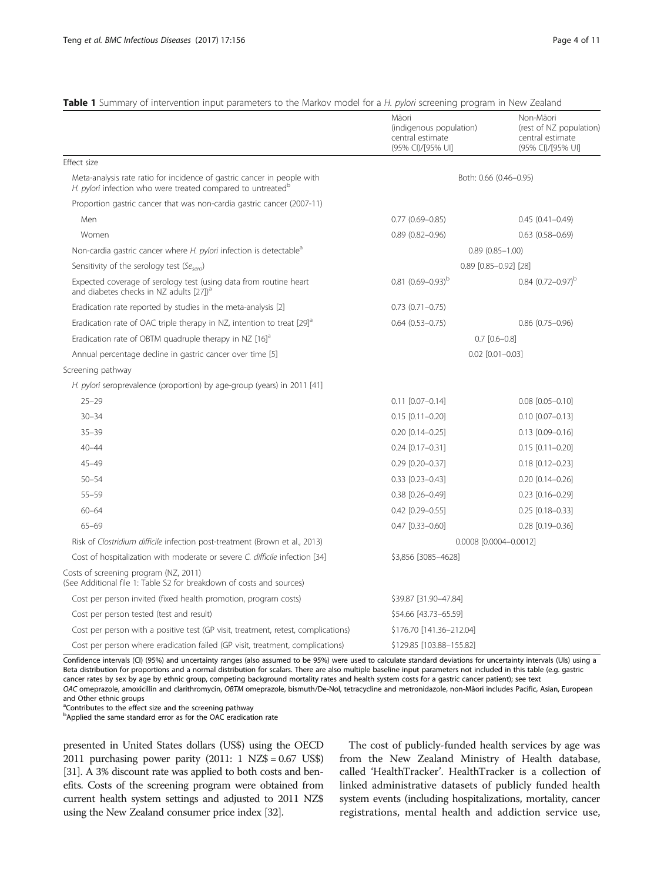# <span id="page-3-0"></span>Table 1 Summary of intervention input parameters to the Markov model for a H. pylori screening program in New Zealand

|                                                                                                                                                    | Māori<br>(indigenous population)<br>central estimate<br>(95% CI)/[95% UI] | Non-Māori<br>(rest of NZ population)<br>central estimate<br>(95% CI)/[95% UI] |  |  |
|----------------------------------------------------------------------------------------------------------------------------------------------------|---------------------------------------------------------------------------|-------------------------------------------------------------------------------|--|--|
| Effect size                                                                                                                                        |                                                                           |                                                                               |  |  |
| Meta-analysis rate ratio for incidence of gastric cancer in people with<br>H. pylori infection who were treated compared to untreated <sup>b</sup> |                                                                           | Both: 0.66 (0.46–0.95)                                                        |  |  |
| Proportion gastric cancer that was non-cardia gastric cancer (2007-11)                                                                             |                                                                           |                                                                               |  |  |
| Men                                                                                                                                                | $0.77(0.69 - 0.85)$                                                       | $0.45(0.41 - 0.49)$                                                           |  |  |
| Women                                                                                                                                              | $0.89(0.82 - 0.96)$                                                       | $0.63$ $(0.58 - 0.69)$                                                        |  |  |
| Non-cardia gastric cancer where H. pylori infection is detectable <sup>a</sup>                                                                     |                                                                           | $0.89(0.85 - 1.00)$                                                           |  |  |
| Sensitivity of the serology test (Sesero)                                                                                                          |                                                                           | $0.89$ $[0.85 - 0.92]$ $[28]$                                                 |  |  |
| Expected coverage of serology test (using data from routine heart<br>and diabetes checks in NZ adults [27]) <sup>a</sup>                           | $0.81 (0.69 - 0.93)^b$                                                    | $0.84$ $(0.72 - 0.97)^b$                                                      |  |  |
| Eradication rate reported by studies in the meta-analysis [2]                                                                                      | $0.73$ $(0.71 - 0.75)$                                                    |                                                                               |  |  |
| Eradication rate of OAC triple therapy in NZ, intention to treat [29] <sup>a</sup>                                                                 | $0.64(0.53 - 0.75)$                                                       | $0.86$ (0.75-0.96)                                                            |  |  |
| Eradication rate of OBTM quadruple therapy in NZ $[16]$ <sup>a</sup>                                                                               |                                                                           | $0.7$ $[0.6 - 0.8]$                                                           |  |  |
| Annual percentage decline in gastric cancer over time [5]                                                                                          |                                                                           | $0.02$ $[0.01 - 0.03]$                                                        |  |  |
| Screening pathway                                                                                                                                  |                                                                           |                                                                               |  |  |
| H. pylori seroprevalence (proportion) by age-group (years) in 2011 [41]                                                                            |                                                                           |                                                                               |  |  |
| $25 - 29$                                                                                                                                          | $0.11$ $[0.07 - 0.14]$                                                    | $0.08$ $[0.05 - 0.10]$                                                        |  |  |
| $30 - 34$                                                                                                                                          | $0.15$ [0.11-0.20]                                                        | $0.10$ $[0.07 - 0.13]$                                                        |  |  |
| $35 - 39$                                                                                                                                          | $0.20$ [0.14-0.25]                                                        | $0.13$ $[0.09 - 0.16]$                                                        |  |  |
| $40 - 44$                                                                                                                                          | $0.24$ [0.17-0.31]                                                        | $0.15$ [0.11-0.20]                                                            |  |  |
| $45 - 49$                                                                                                                                          | $0.29$ [0.20-0.37]                                                        | $0.18$ [0.12-0.23]                                                            |  |  |
| $50 - 54$                                                                                                                                          | $0.33$ $[0.23 - 0.43]$                                                    | $0.20$ [0.14-0.26]                                                            |  |  |
| $55 - 59$                                                                                                                                          | $0.38$ $[0.26 - 0.49]$                                                    | $0.23$ [0.16-0.29]                                                            |  |  |
| $60 - 64$                                                                                                                                          | $0.42$ [0.29-0.55]                                                        | $0.25$ [0.18-0.33]                                                            |  |  |
| $65 - 69$                                                                                                                                          | $0.47$ [0.33-0.60]                                                        | $0.28$ [0.19-0.36]                                                            |  |  |
| Risk of Clostridium difficile infection post-treatment (Brown et al., 2013)                                                                        |                                                                           | 0.0008 [0.0004-0.0012]                                                        |  |  |
| Cost of hospitalization with moderate or severe C. difficile infection [34]                                                                        | \$3,856 [3085-4628]                                                       |                                                                               |  |  |
| Costs of screening program (NZ, 2011)<br>(See Additional file 1: Table S2 for breakdown of costs and sources)                                      |                                                                           |                                                                               |  |  |
| Cost per person invited (fixed health promotion, program costs)                                                                                    | \$39.87 [31.90-47.84]                                                     |                                                                               |  |  |
| Cost per person tested (test and result)                                                                                                           | \$54.66 [43.73-65.59]                                                     |                                                                               |  |  |
| Cost per person with a positive test (GP visit, treatment, retest, complications)                                                                  | \$176.70 [141.36-212.04]                                                  |                                                                               |  |  |
| Cost per person where eradication failed (GP visit, treatment, complications)                                                                      | \$129.85 [103.88-155.82]                                                  |                                                                               |  |  |

Confidence intervals (CI) (95%) and uncertainty ranges (also assumed to be 95%) were used to calculate standard deviations for uncertainty intervals (UIs) using a Beta distribution for proportions and a normal distribution for scalars. There are also multiple baseline input parameters not included in this table (e.g. gastric cancer rates by sex by age by ethnic group, competing background mortality rates and health system costs for a gastric cancer patient); see text OAC omeprazole, amoxicillin and clarithromycin, OBTM omeprazole, bismuth/De-Nol, tetracycline and metronidazole, non-Māori includes Pacific, Asian, European and Other ethnic groups

<sup>a</sup>Contributes to the effect size and the screening pathway

<sup>b</sup>Applied the same standard error as for the OAC eradication rate

presented in United States dollars (US\$) using the OECD 2011 purchasing power parity (2011: 1 NZ\$ = 0.67 US\$) [[31](#page-10-0)]. A 3% discount rate was applied to both costs and benefits. Costs of the screening program were obtained from current health system settings and adjusted to 2011 NZ\$ using the New Zealand consumer price index [\[32\]](#page-10-0).

The cost of publicly-funded health services by age was from the New Zealand Ministry of Health database, called 'HealthTracker'. HealthTracker is a collection of linked administrative datasets of publicly funded health system events (including hospitalizations, mortality, cancer registrations, mental health and addiction service use,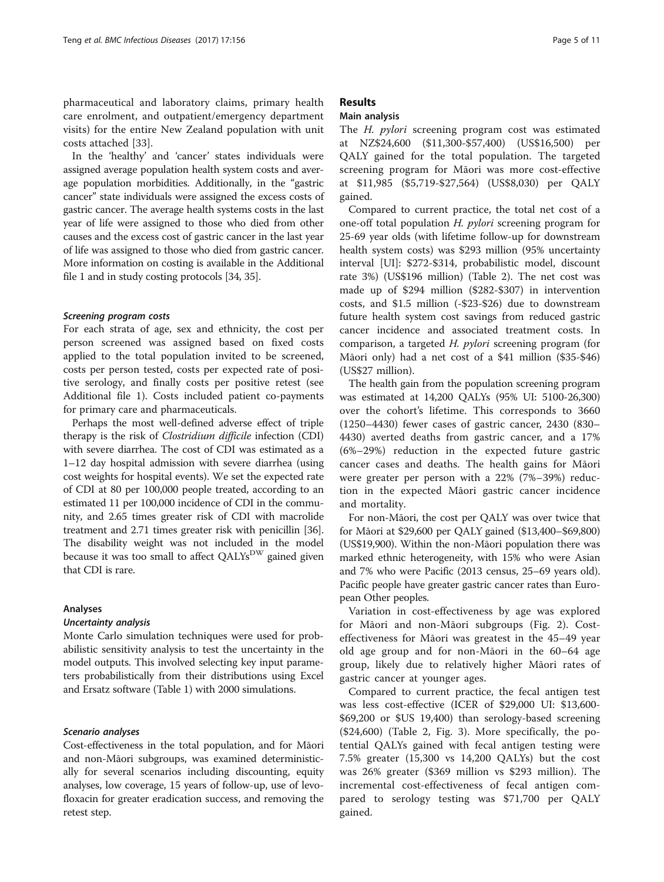pharmaceutical and laboratory claims, primary health care enrolment, and outpatient/emergency department visits) for the entire New Zealand population with unit costs attached [[33\]](#page-10-0).

In the 'healthy' and 'cancer' states individuals were assigned average population health system costs and average population morbidities. Additionally, in the "gastric cancer" state individuals were assigned the excess costs of gastric cancer. The average health systems costs in the last year of life were assigned to those who died from other causes and the excess cost of gastric cancer in the last year of life was assigned to those who died from gastric cancer. More information on costing is available in the Additional file [1](#page-9-0) and in study costing protocols [\[34, 35\]](#page-10-0).

For each strata of age, sex and ethnicity, the cost per person screened was assigned based on fixed costs applied to the total population invited to be screened, costs per person tested, costs per expected rate of positive serology, and finally costs per positive retest (see Additional file [1](#page-9-0)). Costs included patient co-payments for primary care and pharmaceuticals.

Perhaps the most well-defined adverse effect of triple therapy is the risk of Clostridium difficile infection (CDI) with severe diarrhea. The cost of CDI was estimated as a 1–12 day hospital admission with severe diarrhea (using cost weights for hospital events). We set the expected rate of CDI at 80 per 100,000 people treated, according to an estimated 11 per 100,000 incidence of CDI in the community, and 2.65 times greater risk of CDI with macrolide treatment and 2.71 times greater risk with penicillin [[36](#page-10-0)]. The disability weight was not included in the model because it was too small to affect  $QALYs<sup>DW</sup>$  gained given that CDI is rare.

# Analyses

Uncertainty analysis Monte Carlo simulation techniques were used for probabilistic sensitivity analysis to test the uncertainty in the model outputs. This involved selecting key input parameters probabilistically from their distributions using Excel and Ersatz software (Table [1\)](#page-3-0) with 2000 simulations.

Cost-effectiveness in the total population, and for Māori and non-Māori subgroups, was examined deterministically for several scenarios including discounting, equity analyses, low coverage, 15 years of follow-up, use of levofloxacin for greater eradication success, and removing the retest step.

# Results

# Main analysis

The H. *pylori* screening program cost was estimated at NZ\$24,600 (\$11,300-\$57,400) (US\$16,500) per QALY gained for the total population. The targeted screening program for Māori was more cost-effective at \$11,985 (\$5,719-\$27,564) (US\$8,030) per QALY gained.

Compared to current practice, the total net cost of a one-off total population H. pylori screening program for 25-69 year olds (with lifetime follow-up for downstream health system costs) was \$293 million (95% uncertainty interval [UI]: \$272-\$314, probabilistic model, discount rate 3%) (US\$196 million) (Table [2\)](#page-5-0). The net cost was made up of \$294 million (\$282-\$307) in intervention costs, and \$1.5 million (-\$23-\$26) due to downstream future health system cost savings from reduced gastric cancer incidence and associated treatment costs. In comparison, a targeted H. pylori screening program (for Māori only) had a net cost of a \$41 million (\$35-\$46) (US\$27 million).

The health gain from the population screening program was estimated at 14,200 QALYs (95% UI: 5100-26,300) over the cohort's lifetime. This corresponds to 3660 (1250–4430) fewer cases of gastric cancer, 2430 (830– 4430) averted deaths from gastric cancer, and a 17% (6%–29%) reduction in the expected future gastric cancer cases and deaths. The health gains for Māori were greater per person with a 22% (7%–39%) reduction in the expected Māori gastric cancer incidence and mortality.

For non-Māori, the cost per QALY was over twice that for Māori at \$29,600 per QALY gained (\$13,400–\$69,800) (US\$19,900). Within the non-Māori population there was marked ethnic heterogeneity, with 15% who were Asian and 7% who were Pacific (2013 census, 25–69 years old). Pacific people have greater gastric cancer rates than European Other peoples.

Variation in cost-effectiveness by age was explored for Māori and non-Māori subgroups (Fig. [2\)](#page-5-0). Costeffectiveness for Māori was greatest in the 45–49 year old age group and for non-Māori in the 60–64 age group, likely due to relatively higher Māori rates of gastric cancer at younger ages.

Compared to current practice, the fecal antigen test was less cost-effective (ICER of \$29,000 UI: \$13,600- \$69,200 or \$US 19,400) than serology-based screening (\$24,600) (Table [2](#page-5-0), Fig. [3](#page-6-0)). More specifically, the potential QALYs gained with fecal antigen testing were 7.5% greater (15,300 vs 14,200 QALYs) but the cost was 26% greater (\$369 million vs \$293 million). The incremental cost-effectiveness of fecal antigen compared to serology testing was \$71,700 per QALY gained.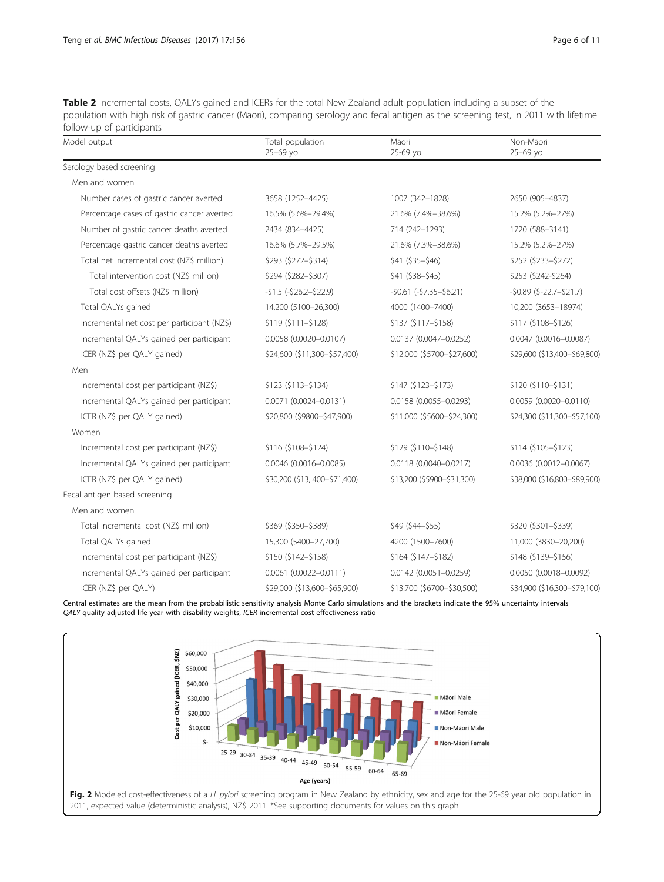<span id="page-5-0"></span>Table 2 Incremental costs, QALYs gained and ICERs for the total New Zealand adult population including a subset of the population with high risk of gastric cancer (Māori), comparing serology and fecal antigen as the screening test, in 2011 with lifetime follow-up of participants

| Model output                                | Total population<br>25-69 yo  | Māori<br>25-69 yo          | Non-Māori<br>25-69 yo        |  |  |
|---------------------------------------------|-------------------------------|----------------------------|------------------------------|--|--|
| Serology based screening                    |                               |                            |                              |  |  |
| Men and women                               |                               |                            |                              |  |  |
| Number cases of gastric cancer averted      | 3658 (1252-4425)              | 1007 (342-1828)            | 2650 (905-4837)              |  |  |
| Percentage cases of gastric cancer averted  | 16.5% (5.6%-29.4%)            | 21.6% (7.4%-38.6%)         | 15.2% (5.2%-27%)             |  |  |
| Number of gastric cancer deaths averted     | 2434 (834-4425)               | 714 (242-1293)             | 1720 (588-3141)              |  |  |
| Percentage gastric cancer deaths averted    | 16.6% (5.7%-29.5%)            | 21.6% (7.3%-38.6%)         | 15.2% (5.2%-27%)             |  |  |
| Total net incremental cost (NZ\$ million)   | \$293 (\$272-\$314)           | $$41 ($35-$46)$            | \$252 (\$233-\$272)          |  |  |
| Total intervention cost (NZ\$ million)      | \$294 (\$282-\$307)           | $$41 ($38-$45)$            | \$253 (\$242-\$264)          |  |  |
| Total cost offsets (NZ\$ million)           | $-51.5$ $(-526.2 - 522.9)$    | $-50.61$ $(-57.35-56.21)$  | $-50.89$ (\$-22.7 $-521.7$ ) |  |  |
| Total QALYs gained                          | 14,200 (5100-26,300)          | 4000 (1400-7400)           | 10,200 (3653-18974)          |  |  |
| Incremental net cost per participant (NZ\$) | $$119(5111 - $128)$           | $$137 ($117 - $158)$       | $$117 ($108 - $126)$         |  |  |
| Incremental QALYs gained per participant    | $0.0058$ (0.0020-0.0107)      | $0.0137(0.0047 - 0.0252)$  | $0.0047$ (0.0016-0.0087)     |  |  |
| ICER (NZ\$ per QALY gained)                 | \$24,600 (\$11,300-\$57,400)  | \$12,000 (\$5700-\$27,600) | \$29,600 (\$13,400-\$69,800) |  |  |
| Men                                         |                               |                            |                              |  |  |
| Incremental cost per participant (NZ\$)     | $$123 ($113-$134)$            | $$147 ($123-$173)$         | \$120 (\$110-\$131)          |  |  |
| Incremental QALYs gained per participant    | $0.0071$ $(0.0024 - 0.0131)$  | 0.0158 (0.0055-0.0293)     | $0.0059(0.0020 - 0.0110)$    |  |  |
| ICER (NZ\$ per QALY gained)                 | \$20,800 (\$9800-\$47,900)    | \$11,000 (\$5600-\$24,300) | \$24,300 (\$11,300-\$57,100) |  |  |
| Women                                       |                               |                            |                              |  |  |
| Incremental cost per participant (NZ\$)     | $$116 ($108 - $124)$          | $$129 ($110 - $148)$       | $$114 ($105 - $123)$         |  |  |
| Incremental QALYs gained per participant    | $0.0046$ (0.0016-0.0085)      | $0.0118(0.0040 - 0.0217)$  | $0.0036(0.0012 - 0.0067)$    |  |  |
| ICER (NZ\$ per QALY gained)                 | \$30,200 (\$13, 400-\$71,400) | \$13,200 (\$5900-\$31,300) | \$38,000 (\$16,800-\$89,900) |  |  |
| Fecal antigen based screening               |                               |                            |                              |  |  |
| Men and women                               |                               |                            |                              |  |  |
| Total incremental cost (NZ\$ million)       | \$369 (\$350-\$389)           | $$49 ($44-$55)$            | \$320 (\$301-\$339)          |  |  |
| Total QALYs gained                          | 15,300 (5400-27,700)          | 4200 (1500-7600)           | 11,000 (3830-20,200)         |  |  |
| Incremental cost per participant (NZ\$)     | $$150 ($142 - $158)$          | $$164 ($147-$182)$         | $$148 ($139-$156)$           |  |  |
| Incremental QALYs gained per participant    | $0.0061(0.0022 - 0.0111)$     | $0.0142$ (0.0051-0.0259)   | 0.0050 (0.0018-0.0092)       |  |  |
| ICER (NZ\$ per QALY)                        | \$29,000 (\$13,600-\$65,900)  | \$13,700 (\$6700-\$30,500) | \$34,900 (\$16,300-\$79,100) |  |  |

Central estimates are the mean from the probabilistic sensitivity analysis Monte Carlo simulations and the brackets indicate the 95% uncertainty intervals QALY quality-adjusted life year with disability weights, ICER incremental cost-effectiveness ratio

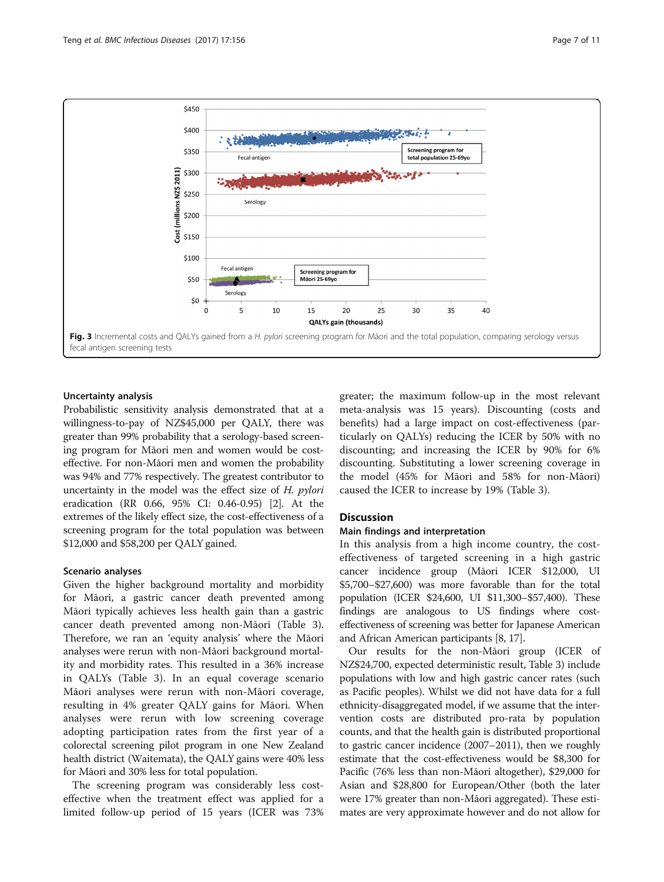<span id="page-6-0"></span>

# Uncertainty analysis

Probabilistic sensitivity analysis demonstrated that at a willingness-to-pay of NZ\$45,000 per QALY, there was greater than 99% probability that a serology-based screening program for Māori men and women would be costeffective. For non-Māori men and women the probability was 94% and 77% respectively. The greatest contributor to uncertainty in the model was the effect size of  $H$ . *pylori* eradication (RR 0.66, 95% CI: 0.46-0.95) [[2\]](#page-9-0). At the extremes of the likely effect size, the cost-effectiveness of a screening program for the total population was between \$12,000 and \$58,200 per QALY gained.

# Scenario analyses

Given the higher background mortality and morbidity for Māori, a gastric cancer death prevented among Māori typically achieves less health gain than a gastric cancer death prevented among non-Māori (Table [3](#page-7-0)). Therefore, we ran an 'equity analysis' where the Māori analyses were rerun with non-Māori background mortality and morbidity rates. This resulted in a 36% increase in QALYs (Table [3](#page-7-0)). In an equal coverage scenario Māori analyses were rerun with non-Māori coverage, resulting in 4% greater QALY gains for Māori. When analyses were rerun with low screening coverage adopting participation rates from the first year of a colorectal screening pilot program in one New Zealand health district (Waitemata), the QALY gains were 40% less for Māori and 30% less for total population.

The screening program was considerably less costeffective when the treatment effect was applied for a limited follow-up period of 15 years (ICER was 73% greater; the maximum follow-up in the most relevant meta-analysis was 15 years). Discounting (costs and benefits) had a large impact on cost-effectiveness (particularly on QALYs) reducing the ICER by 50% with no discounting; and increasing the ICER by 90% for 6% discounting. Substituting a lower screening coverage in the model (45% for Māori and 58% for non-Māori) caused the ICER to increase by 19% (Table [3\)](#page-7-0).

# **Discussion**

# Main findings and interpretation

In this analysis from a high income country, the costeffectiveness of targeted screening in a high gastric cancer incidence group (Māori ICER \$12,000, UI \$5,700–\$27,600) was more favorable than for the total population (ICER \$24,600, UI \$11,300–\$57,400). These findings are analogous to US findings where costeffectiveness of screening was better for Japanese American and African American participants [\[8, 17](#page-9-0)].

Our results for the non-Māori group (ICER of NZ\$24,700, expected deterministic result, Table [3](#page-7-0)) include populations with low and high gastric cancer rates (such as Pacific peoples). Whilst we did not have data for a full ethnicity-disaggregated model, if we assume that the intervention costs are distributed pro-rata by population counts, and that the health gain is distributed proportional to gastric cancer incidence (2007–2011), then we roughly estimate that the cost-effectiveness would be \$8,300 for Pacific (76% less than non-Māori altogether), \$29,000 for Asian and \$28,800 for European/Other (both the later were 17% greater than non-Māori aggregated). These estimates are very approximate however and do not allow for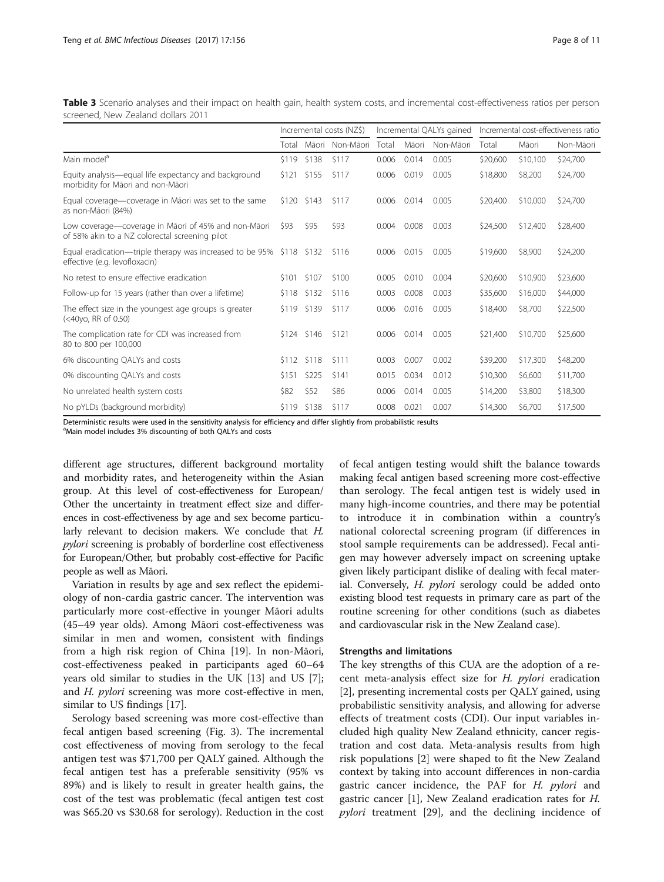<span id="page-7-0"></span>Table 3 Scenario analyses and their impact on health gain, health system costs, and incremental cost-effectiveness ratios per person screened, New Zealand dollars 2011

|                                                                                                          | Incremental costs (NZ\$) |               | Incremental QALYs gained |       |       | Incremental cost-effectiveness ratio |          |          |           |
|----------------------------------------------------------------------------------------------------------|--------------------------|---------------|--------------------------|-------|-------|--------------------------------------|----------|----------|-----------|
|                                                                                                          | Total                    |               | Māori Non-Māori          | Total | Māori | Non-Māori                            | Total    | Māori    | Non-Māori |
| Main model <sup>a</sup>                                                                                  | \$119                    | \$138         | \$117                    | 0.006 | 0.014 | 0.005                                | \$20,600 | \$10,100 | \$24,700  |
| Equity analysis—equal life expectancy and background<br>morbidity for Māori and non-Māori                |                          | $$121$ $$155$ | \$117                    | 0.006 | 0.019 | 0.005                                | \$18,800 | \$8,200  | \$24,700  |
| Equal coverage—coverage in Māori was set to the same<br>as non-Māori (84%)                               |                          | $$120$ $$143$ | \$117                    | 0.006 | 0.014 | 0.005                                | \$20,400 | \$10,000 | \$24,700  |
| Low coverage—coverage in Māori of 45% and non-Māori<br>of 58% akin to a NZ colorectal screening pilot    | \$93                     | \$95          | \$93                     | 0.004 | 0.008 | 0.003                                | \$24,500 | \$12,400 | \$28,400  |
| Equal eradication—triple therapy was increased to be $95\%$ \$118 \$132<br>effective (e.g. levofloxacin) |                          |               | \$116                    | 0.006 | 0.015 | 0.005                                | \$19,600 | \$8,900  | \$24,200  |
| No retest to ensure effective eradication                                                                | \$101                    | \$107         | \$100                    | 0.005 | 0.010 | 0.004                                | \$20,600 | \$10,900 | \$23,600  |
| Follow-up for 15 years (rather than over a lifetime)                                                     | \$118                    | \$132         | \$116                    | 0.003 | 0.008 | 0.003                                | \$35,600 | \$16,000 | \$44,000  |
| The effect size in the youngest age groups is greater<br>$(<$ 40 $vo$ . RR of 0.50)                      | \$119                    | \$139         | \$117                    | 0.006 | 0.016 | 0.005                                | \$18,400 | \$8,700  | \$22,500  |
| The complication rate for CDI was increased from<br>80 to 800 per 100,000                                |                          | $$124$ $$146$ | \$121                    | 0.006 | 0.014 | 0.005                                | \$21,400 | \$10,700 | \$25,600  |
| 6% discounting QALYs and costs                                                                           | \$112                    | \$118         | \$111                    | 0.003 | 0.007 | 0.002                                | \$39,200 | \$17,300 | \$48,200  |
| 0% discounting QALYs and costs                                                                           | \$151                    | \$225         | \$141                    | 0.015 | 0.034 | 0.012                                | \$10,300 | \$6,600  | \$11,700  |
| No unrelated health system costs                                                                         | \$82                     | \$52          | \$86                     | 0.006 | 0.014 | 0.005                                | \$14,200 | \$3,800  | \$18,300  |
| No pYLDs (background morbidity)                                                                          | \$119                    | \$138         | \$117                    | 0.008 | 0.021 | 0.007                                | \$14,300 | \$6,700  | \$17,500  |

Deterministic results were used in the sensitivity analysis for efficiency and differ slightly from probabilistic results

<sup>a</sup>Main model includes 3% discounting of both QALYs and costs

different age structures, different background mortality and morbidity rates, and heterogeneity within the Asian group. At this level of cost-effectiveness for European/ Other the uncertainty in treatment effect size and differences in cost-effectiveness by age and sex become particularly relevant to decision makers. We conclude that H. pylori screening is probably of borderline cost effectiveness for European/Other, but probably cost-effective for Pacific people as well as Māori.

Variation in results by age and sex reflect the epidemiology of non-cardia gastric cancer. The intervention was particularly more cost-effective in younger Māori adults (45–49 year olds). Among Māori cost-effectiveness was similar in men and women, consistent with findings from a high risk region of China [\[19\]](#page-9-0). In non-Māori, cost-effectiveness peaked in participants aged 60–64 years old similar to studies in the UK [[13\]](#page-9-0) and US [\[7](#page-9-0)]; and H. pylori screening was more cost-effective in men, similar to US findings [\[17](#page-9-0)].

Serology based screening was more cost-effective than fecal antigen based screening (Fig. [3\)](#page-6-0). The incremental cost effectiveness of moving from serology to the fecal antigen test was \$71,700 per QALY gained. Although the fecal antigen test has a preferable sensitivity (95% vs 89%) and is likely to result in greater health gains, the cost of the test was problematic (fecal antigen test cost was \$65.20 vs \$30.68 for serology). Reduction in the cost

of fecal antigen testing would shift the balance towards making fecal antigen based screening more cost-effective than serology. The fecal antigen test is widely used in many high-income countries, and there may be potential to introduce it in combination within a country's national colorectal screening program (if differences in stool sample requirements can be addressed). Fecal antigen may however adversely impact on screening uptake given likely participant dislike of dealing with fecal material. Conversely, *H. pylori* serology could be added onto existing blood test requests in primary care as part of the routine screening for other conditions (such as diabetes and cardiovascular risk in the New Zealand case).

# Strengths and limitations

The key strengths of this CUA are the adoption of a recent meta-analysis effect size for H. pylori eradication [[2\]](#page-9-0), presenting incremental costs per QALY gained, using probabilistic sensitivity analysis, and allowing for adverse effects of treatment costs (CDI). Our input variables included high quality New Zealand ethnicity, cancer registration and cost data. Meta-analysis results from high risk populations [[2\]](#page-9-0) were shaped to fit the New Zealand context by taking into account differences in non-cardia gastric cancer incidence, the PAF for H. pylori and gastric cancer [[1\]](#page-9-0), New Zealand eradication rates for H. pylori treatment [[29\]](#page-10-0), and the declining incidence of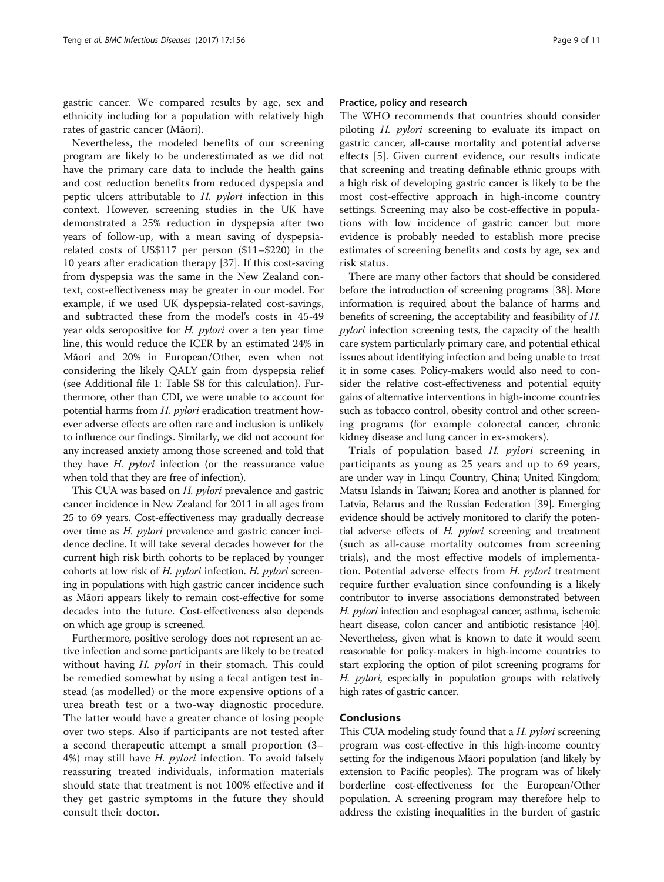gastric cancer. We compared results by age, sex and ethnicity including for a population with relatively high rates of gastric cancer (Māori).

Nevertheless, the modeled benefits of our screening program are likely to be underestimated as we did not have the primary care data to include the health gains and cost reduction benefits from reduced dyspepsia and peptic ulcers attributable to H. pylori infection in this context. However, screening studies in the UK have demonstrated a 25% reduction in dyspepsia after two years of follow-up, with a mean saving of dyspepsiarelated costs of US\$117 per person (\$11–\$220) in the 10 years after eradication therapy [\[37\]](#page-10-0). If this cost-saving from dyspepsia was the same in the New Zealand context, cost-effectiveness may be greater in our model. For example, if we used UK dyspepsia-related cost-savings, and subtracted these from the model's costs in 45-49 year olds seropositive for H. pylori over a ten year time line, this would reduce the ICER by an estimated 24% in Māori and 20% in European/Other, even when not considering the likely QALY gain from dyspepsia relief (see Additional file [1:](#page-9-0) Table S8 for this calculation). Furthermore, other than CDI, we were unable to account for potential harms from H. pylori eradication treatment however adverse effects are often rare and inclusion is unlikely to influence our findings. Similarly, we did not account for any increased anxiety among those screened and told that they have H. pylori infection (or the reassurance value when told that they are free of infection).

This CUA was based on *H. pylori* prevalence and gastric cancer incidence in New Zealand for 2011 in all ages from 25 to 69 years. Cost-effectiveness may gradually decrease over time as H. pylori prevalence and gastric cancer incidence decline. It will take several decades however for the current high risk birth cohorts to be replaced by younger cohorts at low risk of H. pylori infection. H. pylori screening in populations with high gastric cancer incidence such as Māori appears likely to remain cost-effective for some decades into the future. Cost-effectiveness also depends on which age group is screened.

Furthermore, positive serology does not represent an active infection and some participants are likely to be treated without having *H. pylori* in their stomach. This could be remedied somewhat by using a fecal antigen test instead (as modelled) or the more expensive options of a urea breath test or a two-way diagnostic procedure. The latter would have a greater chance of losing people over two steps. Also if participants are not tested after a second therapeutic attempt a small proportion (3– 4%) may still have H. pylori infection. To avoid falsely reassuring treated individuals, information materials should state that treatment is not 100% effective and if they get gastric symptoms in the future they should consult their doctor.

# Practice, policy and research

The WHO recommends that countries should consider piloting H. pylori screening to evaluate its impact on gastric cancer, all-cause mortality and potential adverse effects [\[5](#page-9-0)]. Given current evidence, our results indicate that screening and treating definable ethnic groups with a high risk of developing gastric cancer is likely to be the most cost-effective approach in high-income country settings. Screening may also be cost-effective in populations with low incidence of gastric cancer but more evidence is probably needed to establish more precise estimates of screening benefits and costs by age, sex and risk status.

There are many other factors that should be considered before the introduction of screening programs [[38](#page-10-0)]. More information is required about the balance of harms and benefits of screening, the acceptability and feasibility of H. pylori infection screening tests, the capacity of the health care system particularly primary care, and potential ethical issues about identifying infection and being unable to treat it in some cases. Policy-makers would also need to consider the relative cost-effectiveness and potential equity gains of alternative interventions in high-income countries such as tobacco control, obesity control and other screening programs (for example colorectal cancer, chronic kidney disease and lung cancer in ex-smokers).

Trials of population based H. pylori screening in participants as young as 25 years and up to 69 years, are under way in Linqu Country, China; United Kingdom; Matsu Islands in Taiwan; Korea and another is planned for Latvia, Belarus and the Russian Federation [[39](#page-10-0)]. Emerging evidence should be actively monitored to clarify the potential adverse effects of H. pylori screening and treatment (such as all-cause mortality outcomes from screening trials), and the most effective models of implementation. Potential adverse effects from H. pylori treatment require further evaluation since confounding is a likely contributor to inverse associations demonstrated between H. pylori infection and esophageal cancer, asthma, ischemic heart disease, colon cancer and antibiotic resistance [\[40](#page-10-0)]. Nevertheless, given what is known to date it would seem reasonable for policy-makers in high-income countries to start exploring the option of pilot screening programs for H. pylori, especially in population groups with relatively high rates of gastric cancer.

# Conclusions

This CUA modeling study found that a *H. pylori* screening program was cost-effective in this high-income country setting for the indigenous Māori population (and likely by extension to Pacific peoples). The program was of likely borderline cost-effectiveness for the European/Other population. A screening program may therefore help to address the existing inequalities in the burden of gastric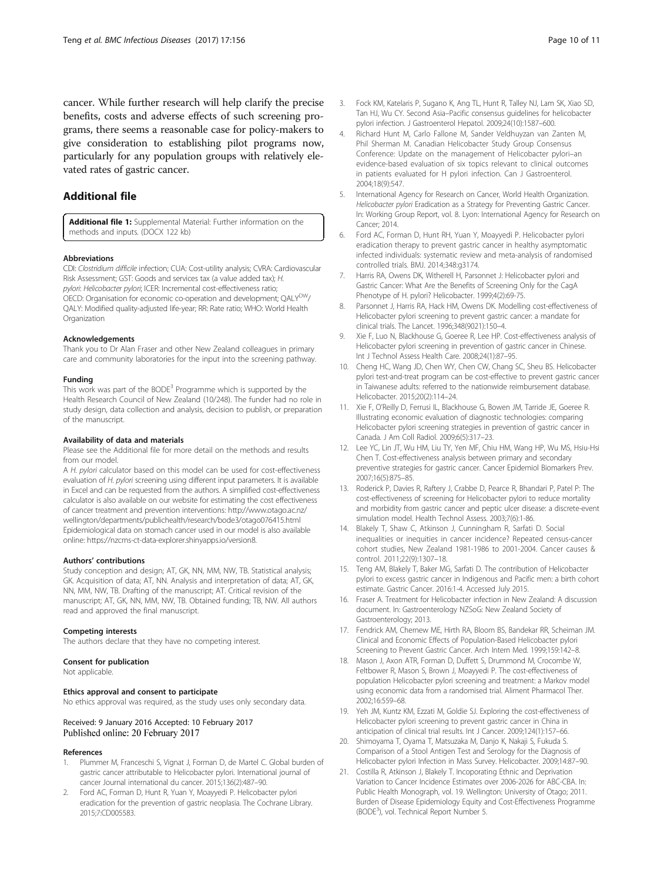<span id="page-9-0"></span>cancer. While further research will help clarify the precise benefits, costs and adverse effects of such screening programs, there seems a reasonable case for policy-makers to give consideration to establishing pilot programs now, particularly for any population groups with relatively elevated rates of gastric cancer.

# Additional file

[Additional file 1:](dx.doi.org/10.1186/s12879-017-2259-2) Supplemental Material: Further information on the methods and inputs. (DOCX 122 kb)

# Abbreviations

CDI: Clostridium difficile infection; CUA: Cost-utility analysis; CVRA: Cardiovascular Risk Assessment; GST: Goods and services tax (a value added tax); H. pylori: Helicobacter pylori; ICER: Incremental cost-effectiveness ratio; OECD: Organisation for economic co-operation and development; QALY<sup>DW</sup>/ QALY: Modified quality-adjusted life-year; RR: Rate ratio; WHO: World Health **Organization** 

# Acknowledgements

Thank you to Dr Alan Fraser and other New Zealand colleagues in primary care and community laboratories for the input into the screening pathway.

### Funding

This work was part of the BODE<sup>3</sup> Programme which is supported by the Health Research Council of New Zealand (10/248). The funder had no role in study design, data collection and analysis, decision to publish, or preparation of the manuscript.

### Availability of data and materials

Please see the Additional file for more detail on the methods and results from our model.

A H. pylori calculator based on this model can be used for cost-effectiveness evaluation of H. pylori screening using different input parameters. It is available in Excel and can be requested from the authors. A simplified cost-effectiveness calculator is also available on our website for estimating the cost effectiveness of cancer treatment and prevention interventions: [http://www.otago.ac.nz/](http://www.otago.ac.nz/wellington/departments/publichealth/research/bode3/otago076415.html) [wellington/departments/publichealth/research/bode3/otago076415.html](http://www.otago.ac.nz/wellington/departments/publichealth/research/bode3/otago076415.html) Epidemiological data on stomach cancer used in our model is also available online:<https://nzcms-ct-data-explorer.shinyapps.io/version8>.

## Authors' contributions

Study conception and design; AT, GK, NN, MM, NW, TB. Statistical analysis; GK. Acquisition of data; AT, NN. Analysis and interpretation of data; AT, GK, NN, MM, NW, TB. Drafting of the manuscript; AT. Critical revision of the manuscript; AT, GK, NN, MM, NW, TB. Obtained funding; TB, NW. All authors read and approved the final manuscript.

## Competing interests

The authors declare that they have no competing interest.

# Consent for publication

Not applicable.

# Ethics approval and consent to participate

No ethics approval was required, as the study uses only secondary data.

# Received: 9 January 2016 Accepted: 10 February 2017

# References

- Plummer M, Franceschi S, Vignat J, Forman D, de Martel C. Global burden of gastric cancer attributable to Helicobacter pylori. International journal of cancer Journal international du cancer. 2015;136(2):487–90.
- 2. Ford AC, Forman D, Hunt R, Yuan Y, Moayyedi P. Helicobacter pylori eradication for the prevention of gastric neoplasia. The Cochrane Library. 2015;7:CD005583.
- 3. Fock KM, Katelaris P, Sugano K, Ang TL, Hunt R, Talley NJ, Lam SK, Xiao SD, Tan HJ, Wu CY. Second Asia–Pacific consensus guidelines for helicobacter pylori infection. J Gastroenterol Hepatol. 2009;24(10):1587–600.
- 4. Richard Hunt M, Carlo Fallone M, Sander Veldhuyzan van Zanten M, Phil Sherman M. Canadian Helicobacter Study Group Consensus Conference: Update on the management of Helicobacter pylori–an evidence-based evaluation of six topics relevant to clinical outcomes in patients evaluated for H pylori infection. Can J Gastroenterol. 2004;18(9):547.
- 5. International Agency for Research on Cancer, World Health Organization. Helicobacter pylori Eradication as a Strategy for Preventing Gastric Cancer. In: Working Group Report, vol. 8. Lyon: International Agency for Research on Cancer; 2014.
- 6. Ford AC, Forman D, Hunt RH, Yuan Y, Moayyedi P. Helicobacter pylori eradication therapy to prevent gastric cancer in healthy asymptomatic infected individuals: systematic review and meta-analysis of randomised controlled trials. BMJ. 2014;348:g3174.
- Harris RA, Owens DK, Witherell H, Parsonnet J: Helicobacter pylori and Gastric Cancer: What Are the Benefits of Screening Only for the CagA Phenotype of H. pylori? Helicobacter. 1999;4(2):69-75.
- 8. Parsonnet J, Harris RA, Hack HM, Owens DK. Modelling cost-effectiveness of Helicobacter pylori screening to prevent gastric cancer: a mandate for clinical trials. The Lancet. 1996;348(9021):150–4.
- 9. Xie F, Luo N, Blackhouse G, Goeree R, Lee HP. Cost-effectiveness analysis of Helicobacter pylori screening in prevention of gastric cancer in Chinese. Int J Technol Assess Health Care. 2008;24(1):87–95.
- 10. Cheng HC, Wang JD, Chen WY, Chen CW, Chang SC, Sheu BS. Helicobacter pylori test-and-treat program can be cost-effective to prevent gastric cancer in Taiwanese adults: referred to the nationwide reimbursement database. Helicobacter. 2015;20(2):114–24.
- 11. Xie F, O'Reilly D, Ferrusi IL, Blackhouse G, Bowen JM, Tarride JE, Goeree R. Illustrating economic evaluation of diagnostic technologies: comparing Helicobacter pylori screening strategies in prevention of gastric cancer in Canada. J Am Coll Radiol. 2009;6(5):317–23.
- 12. Lee YC, Lin JT, Wu HM, Liu TY, Yen MF, Chiu HM, Wang HP, Wu MS, Hsiu-Hsi Chen T. Cost-effectiveness analysis between primary and secondary preventive strategies for gastric cancer. Cancer Epidemiol Biomarkers Prev. 2007;16(5):875–85.
- 13. Roderick P, Davies R, Raftery J, Crabbe D, Pearce R, Bhandari P, Patel P: The cost-effectiveness of screening for Helicobacter pylori to reduce mortality and morbidity from gastric cancer and peptic ulcer disease: a discrete-event simulation model. Health Technol Assess. 2003;7(6):1-86.
- 14. Blakely T, Shaw C, Atkinson J, Cunningham R, Sarfati D. Social inequalities or inequities in cancer incidence? Repeated census-cancer cohort studies, New Zealand 1981-1986 to 2001-2004. Cancer causes & control. 2011;22(9):1307–18.
- 15. Teng AM, Blakely T, Baker MG, Sarfati D. The contribution of Helicobacter pylori to excess gastric cancer in Indigenous and Pacific men: a birth cohort estimate. Gastric Cancer. 2016:1-4. Accessed July 2015.
- 16. Fraser A. Treatment for Helicobacter infection in New Zealand: A discussion document. In: Gastroenterology NZSoG: New Zealand Society of Gastroenterology; 2013.
- 17. Fendrick AM, Chernew ME, Hirth RA, Bloom BS, Bandekar RR, Scheiman JM. Clinical and Economic Effects of Population-Based Helicobacter pylori Screening to Prevent Gastric Cancer. Arch Intern Med. 1999;159:142–8.
- 18. Mason J, Axon ATR, Forman D, Duffett S, Drummond M, Crocombe W, Feltbower R, Mason S, Brown J, Moayyedi P. The cost-effectiveness of population Helicobacter pylori screening and treatment: a Markov model using economic data from a randomised trial. Aliment Pharmacol Ther. 2002;16:559–68.
- 19. Yeh JM, Kuntz KM, Ezzati M, Goldie SJ. Exploring the cost-effectiveness of Helicobacter pylori screening to prevent gastric cancer in China in anticipation of clinical trial results. Int J Cancer. 2009;124(1):157–66.
- 20. Shimoyama T, Oyama T, Matsuzaka M, Danjo K, Nakaji S, Fukuda S. Comparison of a Stool Antigen Test and Serology for the Diagnosis of Helicobacter pylori Infection in Mass Survey. Helicobacter. 2009;14:87–90.
- 21. Costilla R, Atkinson J, Blakely T. Incoporating Ethnic and Deprivation Variation to Cancer Incidence Estimates over 2006-2026 for ABC-CBA. In: Public Health Monograph, vol. 19. Wellington: University of Otago; 2011. Burden of Disease Epidemiology Equity and Cost-Effectiveness Programme (BODE<sup>3</sup> ), vol. Technical Report Number 5.